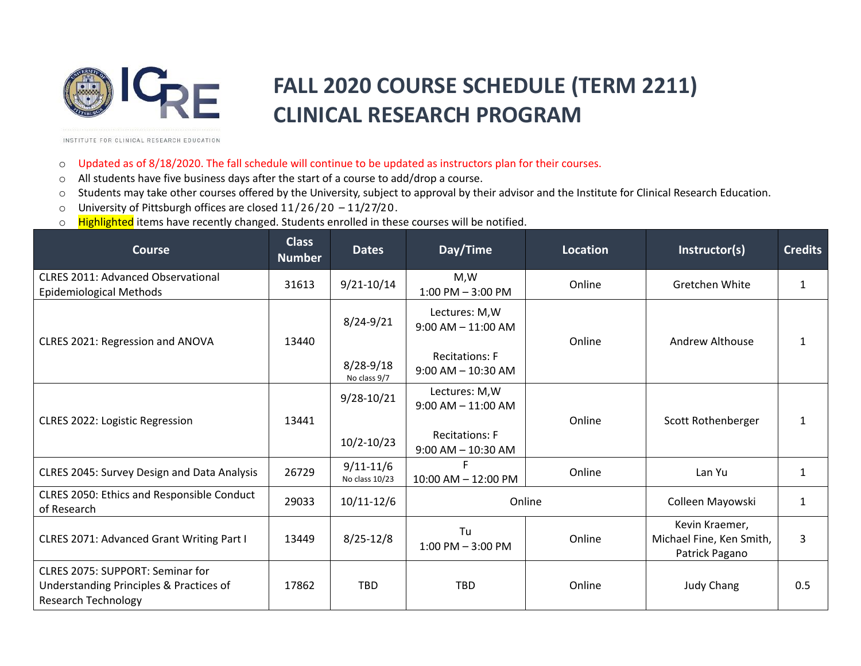

## **FALL 2020 COURSE SCHEDULE (TERM 2211) CLINICAL RESEARCH PROGRAM**

INSTITUTE FOR CLINICAL RESEARCH EDUCATION

- o Updated as of 8/18/2020. The fall schedule will continue to be updated as instructors plan for their courses.
- o All students have five business days after the start of a course to add/drop a course.
- o Students may take other courses offered by the University, subject to approval by their advisor and the Institute for Clinical Research Education.
- o University of Pittsburgh offices are closed 11/26/20 11/27/20.
- o Highlighted items have recently changed. Students enrolled in these courses will be notified.

| <b>Course</b>                                                                                             | <b>Class</b><br><b>Number</b> | <b>Dates</b>                                   | Day/Time                                                                                   | Location | Instructor(s)                                                | <b>Credits</b> |
|-----------------------------------------------------------------------------------------------------------|-------------------------------|------------------------------------------------|--------------------------------------------------------------------------------------------|----------|--------------------------------------------------------------|----------------|
| <b>CLRES 2011: Advanced Observational</b><br>Epidemiological Methods                                      | 31613                         | $9/21 - 10/14$                                 | M,W<br>$1:00$ PM $-3:00$ PM                                                                | Online   | Gretchen White                                               | 1              |
| CLRES 2021: Regression and ANOVA                                                                          | 13440                         | $8/24 - 9/21$<br>$8/28 - 9/18$<br>No class 9/7 | Lectures: M, W<br>$9:00$ AM $- 11:00$ AM<br><b>Recitations: F</b><br>$9:00$ AM $-10:30$ AM | Online   | Andrew Althouse                                              | 1              |
| CLRES 2022: Logistic Regression                                                                           | 13441                         | $9/28 - 10/21$<br>$10/2 - 10/23$               | Lectures: M, W<br>$9:00$ AM $-11:00$ AM<br><b>Recitations: F</b><br>$9:00$ AM $- 10:30$ AM | Online   | Scott Rothenberger                                           | 1              |
| CLRES 2045: Survey Design and Data Analysis                                                               | 26729                         | $9/11 - 11/6$<br>No class 10/23                | F.<br>$10:00$ AM $- 12:00$ PM                                                              | Online   | Lan Yu                                                       | 1              |
| CLRES 2050: Ethics and Responsible Conduct<br>of Research                                                 | 29033                         | $10/11 - 12/6$                                 | Online                                                                                     |          | Colleen Mayowski                                             | 1              |
| CLRES 2071: Advanced Grant Writing Part I                                                                 | 13449                         | $8/25 - 12/8$                                  | Tu<br>$1:00$ PM $-3:00$ PM                                                                 | Online   | Kevin Kraemer,<br>Michael Fine, Ken Smith,<br>Patrick Pagano | 3              |
| CLRES 2075: SUPPORT: Seminar for<br>Understanding Principles & Practices of<br><b>Research Technology</b> | 17862                         | <b>TBD</b>                                     | <b>TBD</b>                                                                                 | Online   | <b>Judy Chang</b>                                            | 0.5            |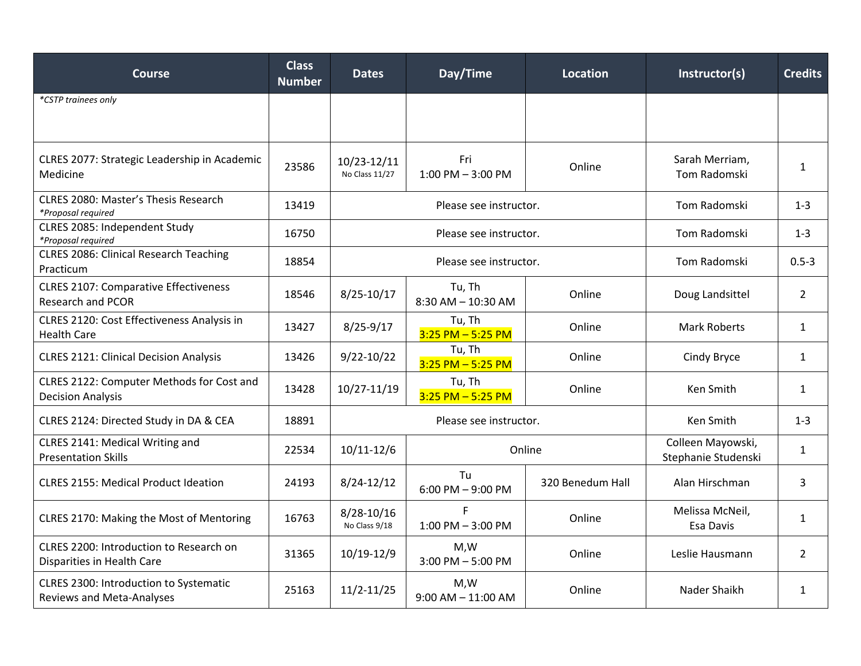| <b>Course</b>                                                                     | <b>Class</b><br><b>Number</b> | <b>Dates</b>                    | Day/Time                         | <b>Location</b>                          | Instructor(s)                  | <b>Credits</b> |
|-----------------------------------------------------------------------------------|-------------------------------|---------------------------------|----------------------------------|------------------------------------------|--------------------------------|----------------|
| *CSTP trainees only                                                               |                               |                                 |                                  |                                          |                                |                |
|                                                                                   |                               |                                 |                                  |                                          |                                |                |
| CLRES 2077: Strategic Leadership in Academic<br>Medicine                          | 23586                         | 10/23-12/11<br>No Class 11/27   | Fri<br>$1:00$ PM $-3:00$ PM      | Online                                   | Sarah Merriam,<br>Tom Radomski | 1              |
| CLRES 2080: Master's Thesis Research<br>*Proposal required                        | 13419                         | Please see instructor.          |                                  |                                          | Tom Radomski                   | $1 - 3$        |
| CLRES 2085: Independent Study<br>*Proposal required                               | 16750                         | Please see instructor.          |                                  |                                          | Tom Radomski                   | $1 - 3$        |
| <b>CLRES 2086: Clinical Research Teaching</b><br>Practicum                        | 18854                         | Please see instructor.          |                                  |                                          | Tom Radomski                   | $0.5 - 3$      |
| <b>CLRES 2107: Comparative Effectiveness</b><br><b>Research and PCOR</b>          | 18546                         | $8/25 - 10/17$                  | Tu, Th<br>$8:30$ AM $- 10:30$ AM | Online                                   | Doug Landsittel                | $\overline{2}$ |
| CLRES 2120: Cost Effectiveness Analysis in<br><b>Health Care</b>                  | 13427                         | $8/25 - 9/17$                   | Tu, Th<br>$3:25$ PM $-5:25$ PM   | Online                                   | <b>Mark Roberts</b>            | $\mathbf{1}$   |
| <b>CLRES 2121: Clinical Decision Analysis</b>                                     | 13426                         | $9/22 - 10/22$                  | Tu, Th<br>$3:25$ PM $-5:25$ PM   | Online                                   | Cindy Bryce                    | $\mathbf{1}$   |
| CLRES 2122: Computer Methods for Cost and<br><b>Decision Analysis</b>             | 13428                         | 10/27-11/19                     | Tu, Th<br>$3:25$ PM $-5:25$ PM   | Online                                   | Ken Smith                      | $\mathbf{1}$   |
| CLRES 2124: Directed Study in DA & CEA                                            | 18891                         | Please see instructor.          |                                  |                                          | Ken Smith                      | $1 - 3$        |
| CLRES 2141: Medical Writing and<br><b>Presentation Skills</b>                     | 22534                         | $10/11 - 12/6$<br>Online        |                                  | Colleen Mayowski,<br>Stephanie Studenski | $\mathbf{1}$                   |                |
| <b>CLRES 2155: Medical Product Ideation</b>                                       | 24193                         | $8/24 - 12/12$                  | Tu<br>$6:00$ PM $-$ 9:00 PM      | 320 Benedum Hall                         | Alan Hirschman                 | 3              |
| CLRES 2170: Making the Most of Mentoring                                          | 16763                         | $8/28 - 10/16$<br>No Class 9/18 | F<br>$1:00$ PM $-3:00$ PM        | Online                                   | Melissa McNeil,<br>Esa Davis   | $\mathbf{1}$   |
| CLRES 2200: Introduction to Research on<br>Disparities in Health Care             | 31365                         | 10/19-12/9                      | M.W<br>$3:00$ PM $-5:00$ PM      | Online                                   | Leslie Hausmann                | $\overline{2}$ |
| <b>CLRES 2300: Introduction to Systematic</b><br><b>Reviews and Meta-Analyses</b> | 25163                         | $11/2 - 11/25$                  | M,W<br>$9:00$ AM $-$ 11:00 AM    | Online                                   | Nader Shaikh                   | $\mathbf{1}$   |